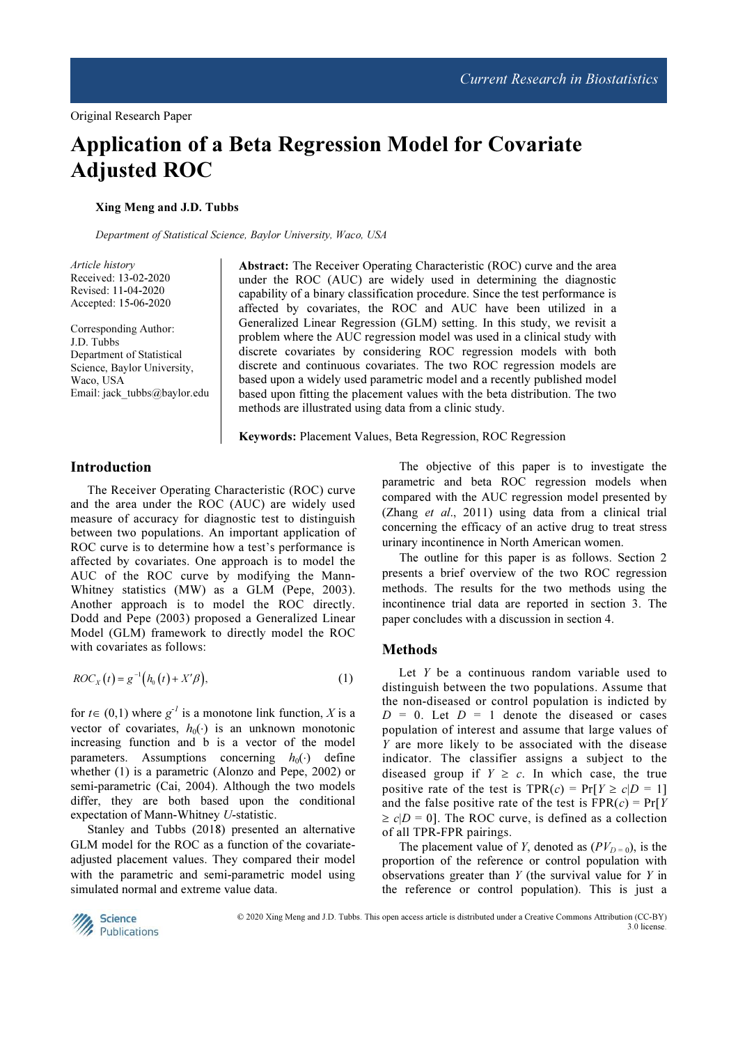# Application of a Beta Regression Model for Covariate Adjusted ROC

Xing Meng and J.D. Tubbs

Department of Statistical Science, Baylor University, Waco, USA

Article history Received: 13-02-2020 Revised: 11-04-2020 Accepted: 15-06-2020

Corresponding Author: J.D. Tubbs Department of Statistical Science, Baylor University, Waco, USA Email: jack\_tubbs@baylor.edu Abstract: The Receiver Operating Characteristic (ROC) curve and the area under the ROC (AUC) are widely used in determining the diagnostic capability of a binary classification procedure. Since the test performance is affected by covariates, the ROC and AUC have been utilized in a Generalized Linear Regression (GLM) setting. In this study, we revisit a problem where the AUC regression model was used in a clinical study with discrete covariates by considering ROC regression models with both discrete and continuous covariates. The two ROC regression models are based upon a widely used parametric model and a recently published model based upon fitting the placement values with the beta distribution. The two methods are illustrated using data from a clinic study.

Keywords: Placement Values, Beta Regression, ROC Regression

# Introduction

The Receiver Operating Characteristic (ROC) curve and the area under the ROC (AUC) are widely used measure of accuracy for diagnostic test to distinguish between two populations. An important application of ROC curve is to determine how a test's performance is affected by covariates. One approach is to model the AUC of the ROC curve by modifying the Mann-Whitney statistics (MW) as a GLM (Pepe, 2003). Another approach is to model the ROC directly. Dodd and Pepe (2003) proposed a Generalized Linear Model (GLM) framework to directly model the ROC with covariates as follows:

$$
ROCX(t) = g-1(h0(t) + X' \beta),
$$
\n(1)

for  $t \in (0,1)$  where  $g^{-1}$  is a monotone link function, X is a vector of covariates,  $h_0(\cdot)$  is an unknown monotonic increasing function and b is a vector of the model parameters. Assumptions concerning  $h_0(\cdot)$  define whether (1) is a parametric (Alonzo and Pepe, 2002) or semi-parametric (Cai, 2004). Although the two models differ, they are both based upon the conditional expectation of Mann-Whitney U-statistic.

Stanley and Tubbs (2018) presented an alternative GLM model for the ROC as a function of the covariateadjusted placement values. They compared their model with the parametric and semi-parametric model using simulated normal and extreme value data.

The objective of this paper is to investigate the parametric and beta ROC regression models when compared with the AUC regression model presented by (Zhang et al., 2011) using data from a clinical trial concerning the efficacy of an active drug to treat stress urinary incontinence in North American women.

The outline for this paper is as follows. Section 2 presents a brief overview of the two ROC regression methods. The results for the two methods using the incontinence trial data are reported in section 3. The paper concludes with a discussion in section 4.

#### Methods

Let  $Y$  be a continuous random variable used to distinguish between the two populations. Assume that the non-diseased or control population is indicted by  $D = 0$ . Let  $D = 1$  denote the diseased or cases population of interest and assume that large values of Y are more likely to be associated with the disease indicator. The classifier assigns a subject to the diseased group if  $Y \geq c$ . In which case, the true positive rate of the test is  $TPR(c) = Pr[Y \ge c|D = 1]$ and the false positive rate of the test is  $FPR(c) = Pr[Y]$  $\ge c|D = 0|$ . The ROC curve, is defined as a collection of all TPR-FPR pairings.

The placement value of Y, denoted as  $(PV_{D=0})$ , is the proportion of the reference or control population with observations greater than  $Y$  (the survival value for  $Y$  in the reference or control population). This is just a



 © 2020 Xing Meng and J.D. Tubbs. This open access article is distributed under a Creative Commons Attribution (CC-BY) 3.0 license.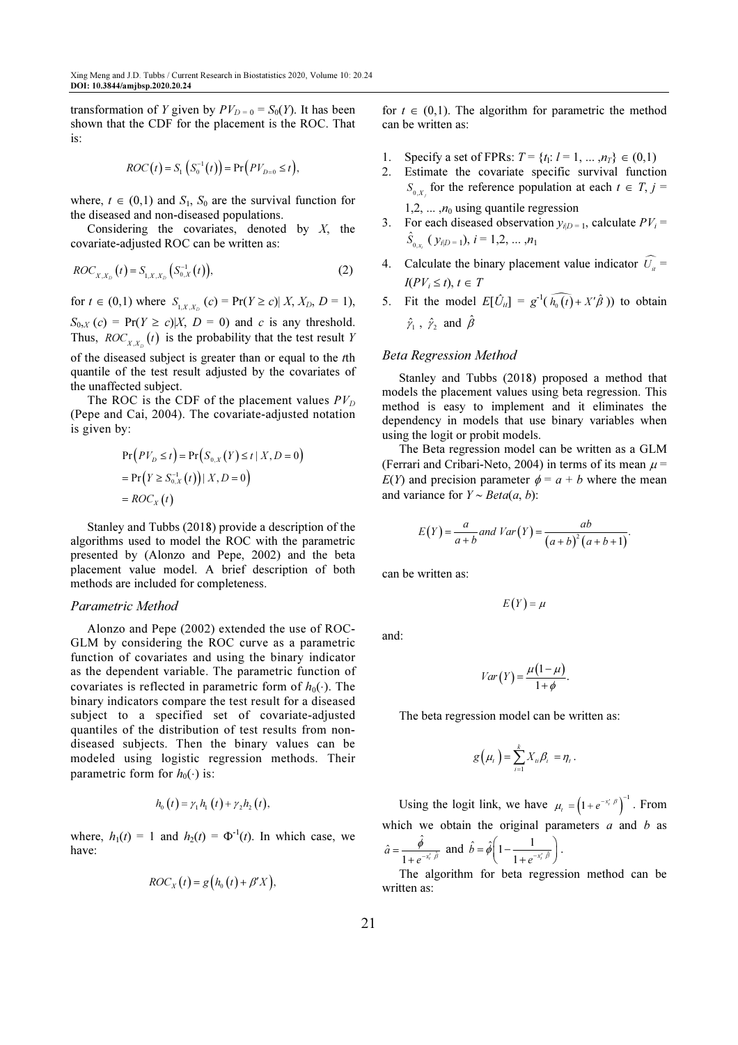transformation of Y given by  $PV_{D=0} = S_0(Y)$ . It has been shown that the CDF for the placement is the ROC. That is:

$$
ROC(t) = S_1 (S_0^{-1}(t)) = Pr(PV_{D=0} \le t),
$$

where,  $t \in (0,1)$  and  $S_1$ ,  $S_0$  are the survival function for the diseased and non-diseased populations.

Considering the covariates, denoted by  $X$ , the covariate-adjusted ROC can be written as:

$$
ROC_{X,X_D}(t) = S_{1,X,X_D}(S_{0,X}^{-1}(t)),
$$
\n(2)

for  $t \in (0,1)$  where  $S_{1, X, X_D}(c) = \Pr(Y \ge c) | X, X_D, D = 1$ ,

 $S_{0, X}(c) = \Pr(Y \ge c) | X, D = 0)$  and c is any threshold. Thus,  $ROC_{X,X_D}(t)$  is the probability that the test result Y of the diseased subject is greater than or equal to the tth

quantile of the test result adjusted by the covariates of the unaffected subject.

The ROC is the CDF of the placement values  $PV_D$ (Pepe and Cai, 2004). The covariate-adjusted notation is given by:

$$
Pr(PV_D \le t) = Pr(S_{0,X}(Y) \le t | X, D = 0)
$$
  
= Pr(Y \ge S\_{0,X}^{-1}(t)) | X, D = 0)  
=  $ROC_X(t)$ 

Stanley and Tubbs (2018) provide a description of the algorithms used to model the ROC with the parametric presented by (Alonzo and Pepe, 2002) and the beta placement value model. A brief description of both methods are included for completeness.

#### Parametric Method

Alonzo and Pepe (2002) extended the use of ROC-GLM by considering the ROC curve as a parametric function of covariates and using the binary indicator as the dependent variable. The parametric function of covariates is reflected in parametric form of  $h_0(\cdot)$ . The binary indicators compare the test result for a diseased subject to a specified set of covariate-adjusted quantiles of the distribution of test results from nondiseased subjects. Then the binary values can be modeled using logistic regression methods. Their parametric form for  $h_0(\cdot)$  is:

$$
h_0(t) = \gamma_1 h_1(t) + \gamma_2 h_2(t),
$$

where,  $h_1(t) = 1$  and  $h_2(t) = \Phi^{-1}(t)$ . In which case, we have:

$$
ROC_{X}(t) = g(h_{0}(t) + \beta' X),
$$

for  $t \in (0,1)$ . The algorithm for parametric the method can be written as:

- 1. Specify a set of FPRs:  $T = \{t_1: l = 1, ..., n_T\} \in (0,1)$
- 2. Estimate the covariate specific survival function  $S_{0,X_j}$  for the reference population at each  $t \in T$ ,  $j =$ 1,2, ...,  $n_0$  using quantile regression
- 3. For each diseased observation  $y_{i|D=1}$ , calculate  $PV_i =$  $\hat{S}_{_{0,x_i}}(y_{i|D=1}), i = 1,2,...,n_1$
- 4. Calculate the binary placement value indicator  $\widehat{U}_{ii}$  =  $I(PV_i \leq t), t \in T$
- 5. Fit the model  $E[\hat{U}_{ii}] = g^{-1}(\widehat{h_0(t)} + X'\hat{\beta})$  to obtain  $\hat{\gamma}_1$ ,  $\hat{\gamma}_2$  and  $\hat{\beta}$

## Beta Regression Method

Stanley and Tubbs (2018) proposed a method that models the placement values using beta regression. This method is easy to implement and it eliminates the dependency in models that use binary variables when using the logit or probit models.

The Beta regression model can be written as a GLM (Ferrari and Cribari-Neto, 2004) in terms of its mean  $\mu$  =  $E(Y)$  and precision parameter  $\phi = a + b$  where the mean and variance for  $Y \sim Beta(a, b)$ :

$$
E(Y) = \frac{a}{a+b}
$$
 and  $Var(Y) = \frac{ab}{(a+b)^2(a+b+1)}$ 

.

can be written as:

$$
E(Y)=\mu
$$

and:

$$
Var(Y) = \frac{\mu(1-\mu)}{1+\phi}.
$$

The beta regression model can be written as:

$$
g\big(\mu_{t}\big)=\sum_{i=1}^{k}X_{ti}\beta_{i}=\eta_{t}.
$$

Using the logit link, we have  $\mu_t = (1 + e^{-x_t^t/\beta})^{-1}$ . From which we obtain the original parameters  $a$  and  $b$  as ˆ

.

$$
\hat{a} = \frac{\hat{\phi}}{1 + e^{-x'_i \hat{\beta}}} \text{ and } \hat{b} = \hat{\phi} \left( 1 - \frac{1}{1 + e^{-x'_i \hat{\beta}}} \right)
$$

The algorithm for beta regression method can be written as: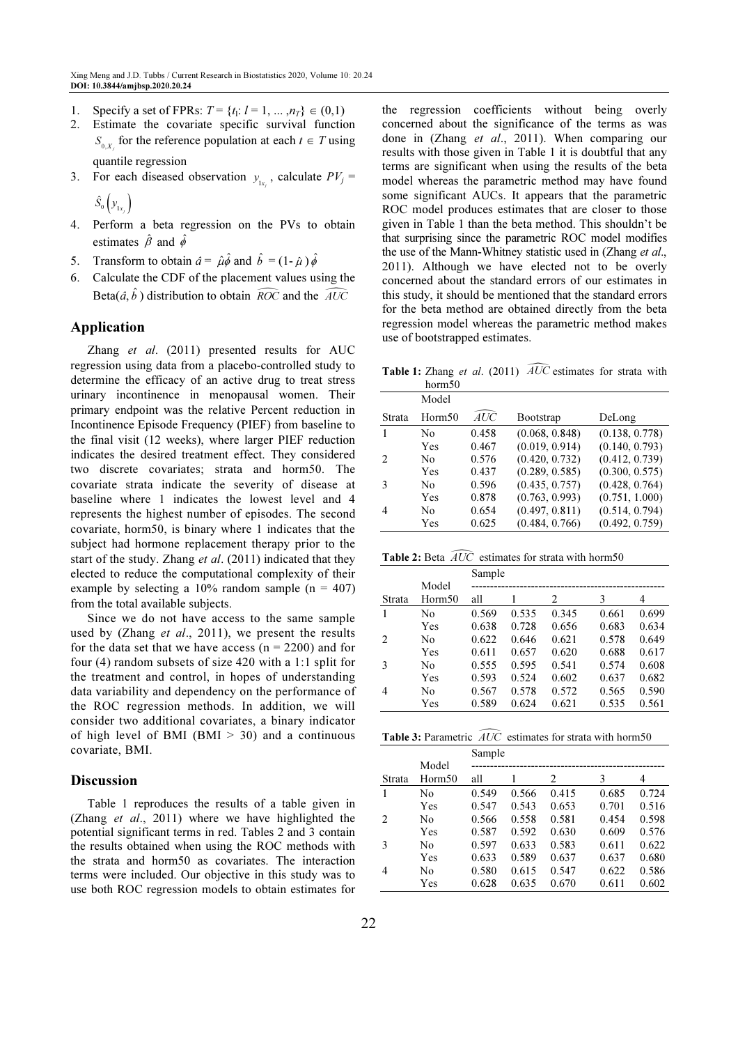- 1. Specify a set of FPRs:  $T = \{t_1: l = 1, ..., n_T\} \in (0,1)$
- 2. Estimate the covariate specific survival function  $S_{0,X_j}$  for the reference population at each  $t \in T$  using quantile regression
- 3. For each diseased observation  $y_{1x_j}$ , calculate  $PV_j =$  $\hat{S}_0 \left( \overline{\mathcal{Y}_{1x_i}} \right)$  $S_{\scriptscriptstyle{0}}\left\vert \mathcal{Y}_{_{1x_{j}}} \right\rangle$
- 4. Perform a beta regression on the PVs to obtain estimates  $\hat{\beta}$  and  $\hat{\phi}$
- 5. Transform to obtain  $\hat{a} = \hat{\mu} \hat{\phi}$  and  $\hat{b} = (1 \hat{\mu}) \hat{\phi}$
- 6. Calculate the CDF of the placement values using the Beta $(\hat{a}, \hat{b})$  distribution to obtain  $\widehat{ROC}$  and the  $\widehat{AUC}$

## Application

Zhang et al. (2011) presented results for AUC regression using data from a placebo-controlled study to determine the efficacy of an active drug to treat stress urinary incontinence in menopausal women. Their primary endpoint was the relative Percent reduction in Incontinence Episode Frequency (PIEF) from baseline to the final visit (12 weeks), where larger PIEF reduction indicates the desired treatment effect. They considered two discrete covariates; strata and horm50. The covariate strata indicate the severity of disease at baseline where 1 indicates the lowest level and 4 represents the highest number of episodes. The second covariate, horm50, is binary where 1 indicates that the subject had hormone replacement therapy prior to the start of the study. Zhang *et al.* (2011) indicated that they elected to reduce the computational complexity of their example by selecting a 10% random sample ( $n = 407$ ) from the total available subjects.

Since we do not have access to the same sample used by (Zhang *et al.*, 2011), we present the results for the data set that we have access ( $n = 2200$ ) and for four (4) random subsets of size 420 with a 1:1 split for the treatment and control, in hopes of understanding data variability and dependency on the performance of the ROC regression methods. In addition, we will consider two additional covariates, a binary indicator of high level of BMI (BMI  $> 30$ ) and a continuous covariate, BMI.

## Discussion

Table 1 reproduces the results of a table given in (Zhang et al., 2011) where we have highlighted the potential significant terms in red. Tables 2 and 3 contain the results obtained when using the ROC methods with the strata and horm50 as covariates. The interaction terms were included. Our objective in this study was to use both ROC regression models to obtain estimates for the regression coefficients without being overly concerned about the significance of the terms as was done in (Zhang et al., 2011). When comparing our results with those given in Table 1 it is doubtful that any terms are significant when using the results of the beta model whereas the parametric method may have found some significant AUCs. It appears that the parametric ROC model produces estimates that are closer to those given in Table 1 than the beta method. This shouldn't be that surprising since the parametric ROC model modifies the use of the Mann-Whitney statistic used in (Zhang et al., 2011). Although we have elected not to be overly concerned about the standard errors of our estimates in this study, it should be mentioned that the standard errors for the beta method are obtained directly from the beta regression model whereas the parametric method makes use of bootstrapped estimates.

**Table 1:** Zhang et al. (2011)  $\widehat{AUC}$  estimates for strata with horm50

| 1101111.00     |       |                |                |
|----------------|-------|----------------|----------------|
| Model          |       |                |                |
| Horm50         | AUC   | Bootstrap      | DeLong         |
| No             | 0.458 | (0.068, 0.848) | (0.138, 0.778) |
| Yes            | 0.467 | (0.019, 0.914) | (0.140, 0.793) |
| N <sub>0</sub> | 0.576 | (0.420, 0.732) | (0.412, 0.739) |
| Yes            | 0.437 | (0.289, 0.585) | (0.300, 0.575) |
| No             | 0.596 | (0.435, 0.757) | (0.428, 0.764) |
| Yes            | 0.878 | (0.763, 0.993) | (0.751, 1.000) |
| N <sub>0</sub> | 0.654 | (0.497, 0.811) | (0.514, 0.794) |
| <b>Yes</b>     | 0.625 | (0.484, 0.766) | (0.492, 0.759) |
|                |       |                |                |

**Table 2:** Beta  $\widehat{AUC}$  estimates for strata with horm50

|        |                | Sample |       |       |       |       |  |
|--------|----------------|--------|-------|-------|-------|-------|--|
|        | Model          |        |       |       |       |       |  |
| Strata | Horm50         | all    |       | 2     | 3     | 4     |  |
| 1      | No             | 0.569  | 0.535 | 0.345 | 0.661 | 0.699 |  |
|        | Yes            | 0.638  | 0.728 | 0.656 | 0.683 | 0.634 |  |
| 2      | N <sub>0</sub> | 0.622  | 0.646 | 0.621 | 0.578 | 0.649 |  |
|        | Yes            | 0.611  | 0.657 | 0.620 | 0.688 | 0.617 |  |
| 3      | N <sub>0</sub> | 0.555  | 0.595 | 0.541 | 0.574 | 0.608 |  |
|        | Yes            | 0.593  | 0.524 | 0.602 | 0.637 | 0.682 |  |
| 4      | No             | 0.567  | 0.578 | 0.572 | 0.565 | 0.590 |  |
|        | Yes            | 0.589  | 0.624 | 0.621 | 0.535 | 0.561 |  |

Table 3: Parametric  $\widehat{AUC}$  estimates for strata with horm50

|        |        | Sample |       |       |       |       |
|--------|--------|--------|-------|-------|-------|-------|
|        | Model  |        |       |       |       |       |
| Strata | Horm50 | all    |       | 2     | 3     | 4     |
|        | No     | 0.549  | 0.566 | 0.415 | 0.685 | 0.724 |
|        | Yes    | 0.547  | 0.543 | 0.653 | 0.701 | 0.516 |
| 2      | No     | 0.566  | 0.558 | 0.581 | 0.454 | 0.598 |
|        | Yes    | 0.587  | 0.592 | 0.630 | 0.609 | 0.576 |
| 3      | No     | 0.597  | 0.633 | 0.583 | 0.611 | 0.622 |
|        | Yes    | 0.633  | 0.589 | 0.637 | 0.637 | 0.680 |
| 4      | No     | 0.580  | 0.615 | 0.547 | 0.622 | 0.586 |
|        | Yes    | 0.628  | 0.635 | 0.670 | 0.611 | 0.602 |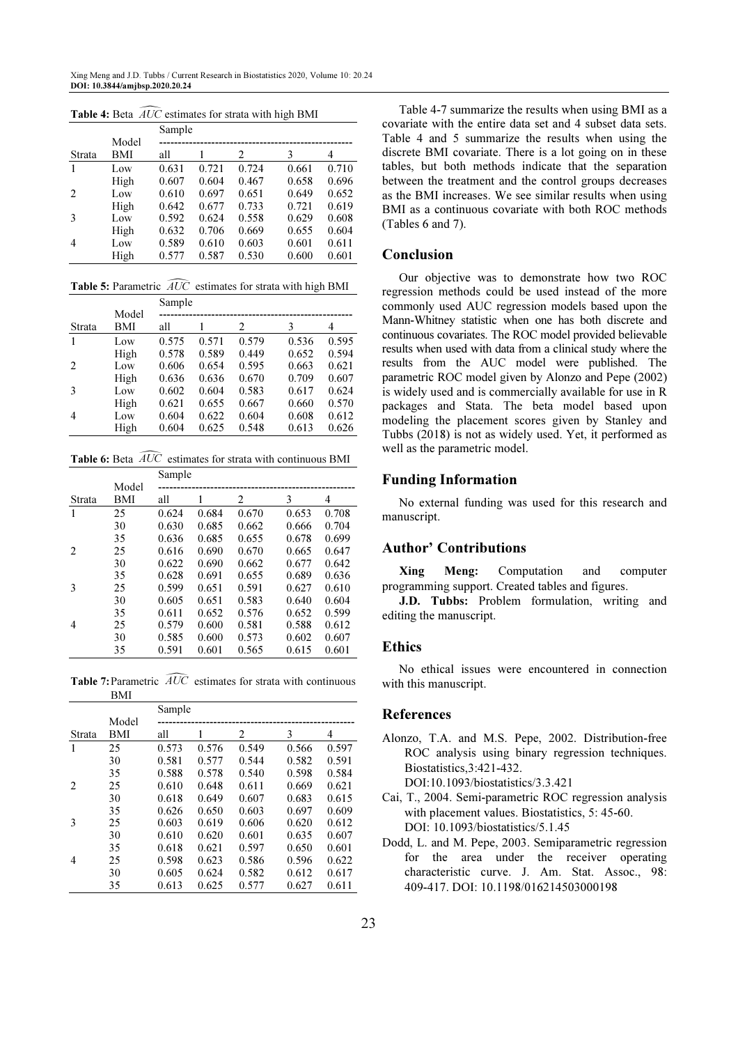Xing Meng and J.D. Tubbs / Current Research in Biostatistics 2020, Volume 10: 20.24 DOI: 10.3844/amjbsp.2020.20.24

|        |            | Sample |       |       |       |       |
|--------|------------|--------|-------|-------|-------|-------|
|        | Model      |        |       |       |       |       |
| Strata | <b>BMI</b> | all    |       | 2     | 3     | 4     |
|        | Low        | 0.631  | 0.721 | 0.724 | 0.661 | 0.710 |
|        | High       | 0.607  | 0.604 | 0.467 | 0.658 | 0.696 |
| 2      | Low        | 0.610  | 0.697 | 0.651 | 0.649 | 0.652 |
|        | High       | 0.642  | 0.677 | 0.733 | 0.721 | 0.619 |
| 3      | Low        | 0.592  | 0.624 | 0.558 | 0.629 | 0.608 |
|        | High       | 0.632  | 0.706 | 0.669 | 0.655 | 0.604 |
| 4      | Low        | 0.589  | 0.610 | 0.603 | 0.601 | 0.611 |
|        | High       | 0.577  | 0.587 | 0.530 | 0.600 | 0.601 |

Table 4: Beta  $\widehat{AUC}$  estimates for strata with high BMI

Table 5: Parametric  $\widehat{AUC}$  estimates for strata with high BMI

|        |       | Sample |       |       |       |       |  |
|--------|-------|--------|-------|-------|-------|-------|--|
|        | Model |        |       |       |       |       |  |
| Strata | BMI   | all    |       | 2     | 3     | 4     |  |
| 1      | Low   | 0.575  | 0.571 | 0.579 | 0.536 | 0.595 |  |
|        | High  | 0.578  | 0.589 | 0.449 | 0.652 | 0.594 |  |
| 2      | Low   | 0.606  | 0.654 | 0.595 | 0.663 | 0.621 |  |
|        | High  | 0.636  | 0.636 | 0.670 | 0.709 | 0.607 |  |
| 3      | Low   | 0.602  | 0.604 | 0.583 | 0.617 | 0.624 |  |
|        | High  | 0.621  | 0.655 | 0.667 | 0.660 | 0.570 |  |
| 4      | Low   | 0.604  | 0.622 | 0.604 | 0.608 | 0.612 |  |
|        | High  | 0.604  | 0.625 | 0.548 | 0.613 | 0.626 |  |

**Table 6:** Beta  $\widehat{AUC}$  estimates for strata with continuous BMI

|                |       | Sample |       |       |       |       |  |
|----------------|-------|--------|-------|-------|-------|-------|--|
|                | Model |        |       |       |       |       |  |
| Strata         | BMI   | all    | 1     | 2     | 3     | 4     |  |
| 1              | 25    | 0.624  | 0.684 | 0.670 | 0.653 | 0.708 |  |
|                | 30    | 0.630  | 0.685 | 0.662 | 0.666 | 0.704 |  |
|                | 35    | 0.636  | 0.685 | 0.655 | 0.678 | 0.699 |  |
| 2              | 25    | 0.616  | 0.690 | 0.670 | 0.665 | 0.647 |  |
|                | 30    | 0.622  | 0.690 | 0.662 | 0.677 | 0.642 |  |
|                | 35    | 0.628  | 0.691 | 0.655 | 0.689 | 0.636 |  |
| 3              | 25    | 0.599  | 0.651 | 0.591 | 0.627 | 0.610 |  |
|                | 30    | 0.605  | 0.651 | 0.583 | 0.640 | 0.604 |  |
|                | 35    | 0.611  | 0.652 | 0.576 | 0.652 | 0.599 |  |
| $\overline{4}$ | 25    | 0.579  | 0.600 | 0.581 | 0.588 | 0.612 |  |
|                | 30    | 0.585  | 0.600 | 0.573 | 0.602 | 0.607 |  |
|                | 35    | 0.591  | 0.601 | 0.565 | 0.615 | 0.601 |  |

Table 7: Parametric  $\widehat{AUC}$  estimates for strata with continuous **BMI** 

|        |       | Sample |       |       |       |       |  |
|--------|-------|--------|-------|-------|-------|-------|--|
|        | Model |        |       |       |       |       |  |
| Strata | BMI   | all    |       | 2     | 3     | 4     |  |
| 1      | 25    | 0.573  | 0.576 | 0.549 | 0.566 | 0.597 |  |
|        | 30    | 0.581  | 0.577 | 0.544 | 0.582 | 0.591 |  |
|        | 35    | 0.588  | 0.578 | 0.540 | 0.598 | 0.584 |  |
| 2      | 25    | 0.610  | 0.648 | 0.611 | 0.669 | 0.621 |  |
|        | 30    | 0.618  | 0.649 | 0.607 | 0.683 | 0.615 |  |
|        | 35    | 0.626  | 0.650 | 0.603 | 0.697 | 0.609 |  |
| 3      | 25    | 0.603  | 0.619 | 0.606 | 0.620 | 0.612 |  |
|        | 30    | 0.610  | 0.620 | 0.601 | 0.635 | 0.607 |  |
|        | 35    | 0.618  | 0.621 | 0.597 | 0.650 | 0.601 |  |
| 4      | 25    | 0.598  | 0.623 | 0.586 | 0.596 | 0.622 |  |
|        | 30    | 0.605  | 0.624 | 0.582 | 0.612 | 0.617 |  |
|        | 35    | 0.613  | 0.625 | 0.577 | 0.627 | 0.611 |  |

Table 4-7 summarize the results when using BMI as a covariate with the entire data set and 4 subset data sets. Table 4 and 5 summarize the results when using the discrete BMI covariate. There is a lot going on in these tables, but both methods indicate that the separation between the treatment and the control groups decreases as the BMI increases. We see similar results when using BMI as a continuous covariate with both ROC methods (Tables 6 and 7).

## Conclusion

Our objective was to demonstrate how two ROC regression methods could be used instead of the more commonly used AUC regression models based upon the Mann-Whitney statistic when one has both discrete and continuous covariates. The ROC model provided believable results when used with data from a clinical study where the results from the AUC model were published. The parametric ROC model given by Alonzo and Pepe (2002) is widely used and is commercially available for use in R packages and Stata. The beta model based upon modeling the placement scores given by Stanley and Tubbs (2018) is not as widely used. Yet, it performed as well as the parametric model.

#### Funding Information

No external funding was used for this research and manuscript.

## Author' Contributions

Xing Meng: Computation and computer programming support. Created tables and figures.

J.D. Tubbs: Problem formulation, writing and editing the manuscript.

## Ethics

No ethical issues were encountered in connection with this manuscript.

## References

- Alonzo, T.A. and M.S. Pepe, 2002. Distribution-free ROC analysis using binary regression techniques. Biostatistics,3:421-432. DOI:10.1093/biostatistics/3.3.421
- Cai, T., 2004. Semi-parametric ROC regression analysis with placement values. Biostatistics, 5: 45-60. DOI: 10.1093/biostatistics/5.1.45
- Dodd, L. and M. Pepe, 2003. Semiparametric regression for the area under the receiver operating characteristic curve. J. Am. Stat. Assoc., 98: 409-417. DOI: 10.1198/016214503000198